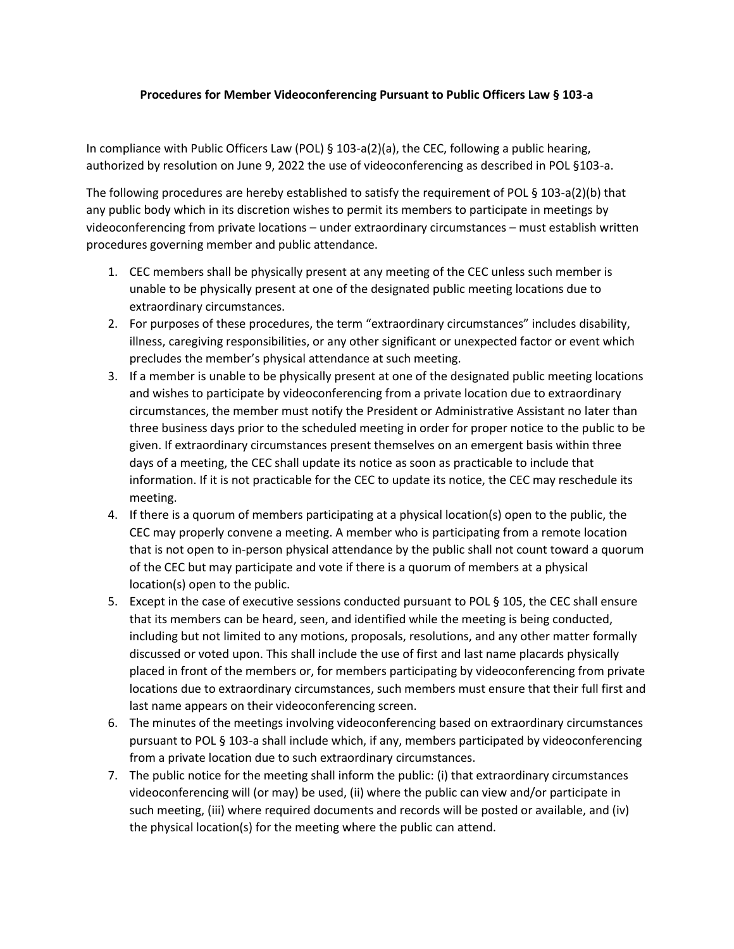## **Procedures for Member Videoconferencing Pursuant to Public Officers Law § 103-a**

In compliance with Public Officers Law (POL) § 103-a(2)(a), the CEC, following a public hearing, authorized by resolution on June 9, 2022 the use of videoconferencing as described in POL §103-a.

The following procedures are hereby established to satisfy the requirement of POL § 103-a(2)(b) that any public body which in its discretion wishes to permit its members to participate in meetings by videoconferencing from private locations – under extraordinary circumstances – must establish written procedures governing member and public attendance.

- 1. CEC members shall be physically present at any meeting of the CEC unless such member is unable to be physically present at one of the designated public meeting locations due to extraordinary circumstances.
- 2. For purposes of these procedures, the term "extraordinary circumstances" includes disability, illness, caregiving responsibilities, or any other significant or unexpected factor or event which precludes the member's physical attendance at such meeting.
- 3. If a member is unable to be physically present at one of the designated public meeting locations and wishes to participate by videoconferencing from a private location due to extraordinary circumstances, the member must notify the President or Administrative Assistant no later than three business days prior to the scheduled meeting in order for proper notice to the public to be given. If extraordinary circumstances present themselves on an emergent basis within three days of a meeting, the CEC shall update its notice as soon as practicable to include that information. If it is not practicable for the CEC to update its notice, the CEC may reschedule its meeting.
- 4. If there is a quorum of members participating at a physical location(s) open to the public, the CEC may properly convene a meeting. A member who is participating from a remote location that is not open to in-person physical attendance by the public shall not count toward a quorum of the CEC but may participate and vote if there is a quorum of members at a physical location(s) open to the public.
- 5. Except in the case of executive sessions conducted pursuant to POL § 105, the CEC shall ensure that its members can be heard, seen, and identified while the meeting is being conducted, including but not limited to any motions, proposals, resolutions, and any other matter formally discussed or voted upon. This shall include the use of first and last name placards physically placed in front of the members or, for members participating by videoconferencing from private locations due to extraordinary circumstances, such members must ensure that their full first and last name appears on their videoconferencing screen.
- 6. The minutes of the meetings involving videoconferencing based on extraordinary circumstances pursuant to POL § 103-a shall include which, if any, members participated by videoconferencing from a private location due to such extraordinary circumstances.
- 7. The public notice for the meeting shall inform the public: (i) that extraordinary circumstances videoconferencing will (or may) be used, (ii) where the public can view and/or participate in such meeting, (iii) where required documents and records will be posted or available, and (iv) the physical location(s) for the meeting where the public can attend.